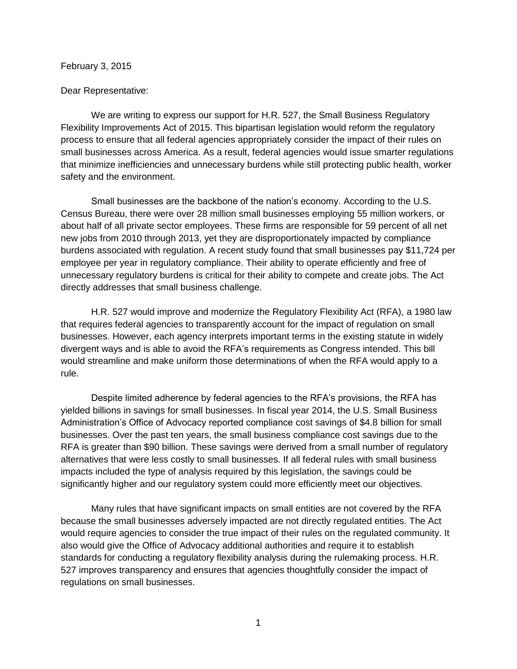## February 3, 2015

## Dear Representative:

We are writing to express our support for H.R. 527, the Small Business Regulatory Flexibility Improvements Act of 2015. This bipartisan legislation would reform the regulatory process to ensure that all federal agencies appropriately consider the impact of their rules on small businesses across America. As a result, federal agencies would issue smarter regulations that minimize inefficiencies and unnecessary burdens while still protecting public health, worker safety and the environment.

Small businesses are the backbone of the nation's economy. According to the U.S. Census Bureau, there were over 28 million small businesses employing 55 million workers, or about half of all private sector employees. These firms are responsible for 59 percent of all net new jobs from 2010 through 2013, yet they are disproportionately impacted by compliance burdens associated with regulation. A recent study found that small businesses pay \$11,724 per employee per year in regulatory compliance. Their ability to operate efficiently and free of unnecessary regulatory burdens is critical for their ability to compete and create jobs. The Act directly addresses that small business challenge.

H.R. 527 would improve and modernize the Regulatory Flexibility Act (RFA), a 1980 law that requires federal agencies to transparently account for the impact of regulation on small businesses. However, each agency interprets important terms in the existing statute in widely divergent ways and is able to avoid the RFA's requirements as Congress intended. This bill would streamline and make uniform those determinations of when the RFA would apply to a rule.

Despite limited adherence by federal agencies to the RFA's provisions, the RFA has yielded billions in savings for small businesses. In fiscal year 2014, the U.S. Small Business Administration's Office of Advocacy reported compliance cost savings of \$4.8 billion for small businesses. Over the past ten years, the small business compliance cost savings due to the RFA is greater than \$90 billion. These savings were derived from a small number of regulatory alternatives that were less costly to small businesses. If all federal rules with small business impacts included the type of analysis required by this legislation, the savings could be significantly higher and our regulatory system could more efficiently meet our objectives.

Many rules that have significant impacts on small entities are not covered by the RFA because the small businesses adversely impacted are not directly regulated entities. The Act would require agencies to consider the true impact of their rules on the regulated community. It also would give the Office of Advocacy additional authorities and require it to establish standards for conducting a regulatory flexibility analysis during the rulemaking process. H.R. 527 improves transparency and ensures that agencies thoughtfully consider the impact of regulations on small businesses.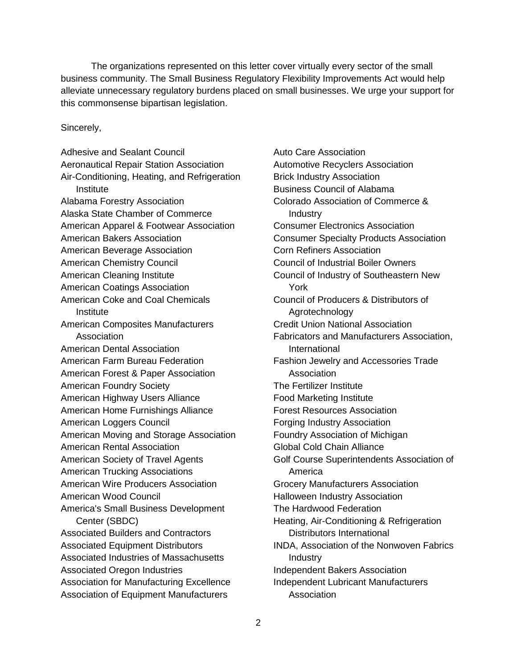The organizations represented on this letter cover virtually every sector of the small business community. The Small Business Regulatory Flexibility Improvements Act would help alleviate unnecessary regulatory burdens placed on small businesses. We urge your support for this commonsense bipartisan legislation.

## Sincerely,

Adhesive and Sealant Council Aeronautical Repair Station Association Air-Conditioning, Heating, and Refrigeration Institute Alabama Forestry Association Alaska State Chamber of Commerce American Apparel & Footwear Association American Bakers Association American Beverage Association American Chemistry Council American Cleaning Institute American Coatings Association American Coke and Coal Chemicals **Institute** American Composites Manufacturers Association American Dental Association American Farm Bureau Federation American Forest & Paper Association American Foundry Society American Highway Users Alliance American Home Furnishings Alliance American Loggers Council American Moving and Storage Association American Rental Association American Society of Travel Agents American Trucking Associations American Wire Producers Association American Wood Council America's Small Business Development Center (SBDC) Associated Builders and Contractors Associated Equipment Distributors Associated Industries of Massachusetts Associated Oregon Industries Association for Manufacturing Excellence Association of Equipment Manufacturers

Auto Care Association Automotive Recyclers Association Brick Industry Association Business Council of Alabama Colorado Association of Commerce & **Industry** Consumer Electronics Association Consumer Specialty Products Association Corn Refiners Association Council of Industrial Boiler Owners Council of Industry of Southeastern New York Council of Producers & Distributors of Agrotechnology Credit Union National Association Fabricators and Manufacturers Association, International Fashion Jewelry and Accessories Trade Association The Fertilizer Institute Food Marketing Institute Forest Resources Association Forging Industry Association Foundry Association of Michigan Global Cold Chain Alliance Golf Course Superintendents Association of America Grocery Manufacturers Association Halloween Industry Association The Hardwood Federation Heating, Air-Conditioning & Refrigeration Distributors International INDA, Association of the Nonwoven Fabrics Industry Independent Bakers Association Independent Lubricant Manufacturers Association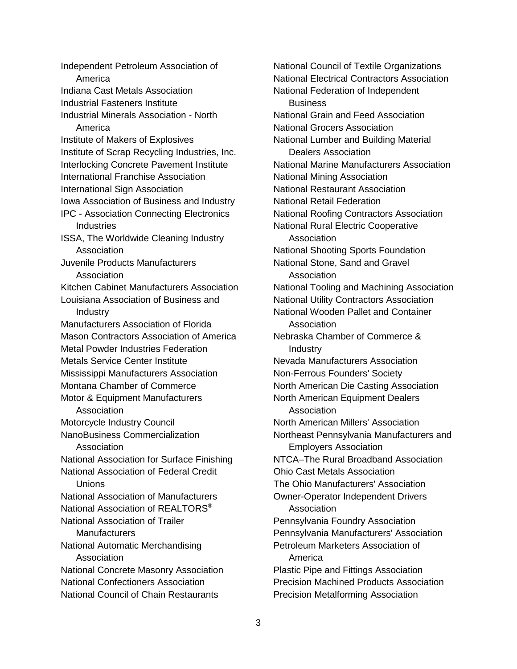Independent Petroleum Association of America Indiana Cast Metals Association Industrial Fasteners Institute Industrial Minerals Association - North America Institute of Makers of Explosives Institute of Scrap Recycling Industries, Inc. Interlocking Concrete Pavement Institute International Franchise Association International Sign Association Iowa Association of Business and Industry IPC - Association Connecting Electronics Industries ISSA, The Worldwide Cleaning Industry Association Juvenile Products Manufacturers Association Kitchen Cabinet Manufacturers Association Louisiana Association of Business and **Industry** Manufacturers Association of Florida Mason Contractors Association of America Metal Powder Industries Federation Metals Service Center Institute Mississippi Manufacturers Association Montana Chamber of Commerce Motor & Equipment Manufacturers Association Motorcycle Industry Council NanoBusiness Commercialization **Association** National Association for Surface Finishing National Association of Federal Credit Unions National Association of Manufacturers National Association of REALTORS<sup>®</sup> National Association of Trailer **Manufacturers** National Automatic Merchandising Association National Concrete Masonry Association National Confectioners Association National Council of Chain Restaurants

National Council of Textile Organizations National Electrical Contractors Association National Federation of Independent **Business** National Grain and Feed Association National Grocers Association National Lumber and Building Material Dealers Association National Marine Manufacturers Association National Mining Association National Restaurant Association National Retail Federation National Roofing Contractors Association National Rural Electric Cooperative Association National Shooting Sports Foundation National Stone, Sand and Gravel Association National Tooling and Machining Association National Utility Contractors Association National Wooden Pallet and Container Association Nebraska Chamber of Commerce & Industry Nevada Manufacturers Association Non-Ferrous Founders' Society North American Die Casting Association North American Equipment Dealers Association North American Millers' Association Northeast Pennsylvania Manufacturers and Employers Association NTCA–The Rural Broadband Association Ohio Cast Metals Association The Ohio Manufacturers' Association Owner-Operator Independent Drivers Association Pennsylvania Foundry Association Pennsylvania Manufacturers' Association Petroleum Marketers Association of America Plastic Pipe and Fittings Association Precision Machined Products Association Precision Metalforming Association